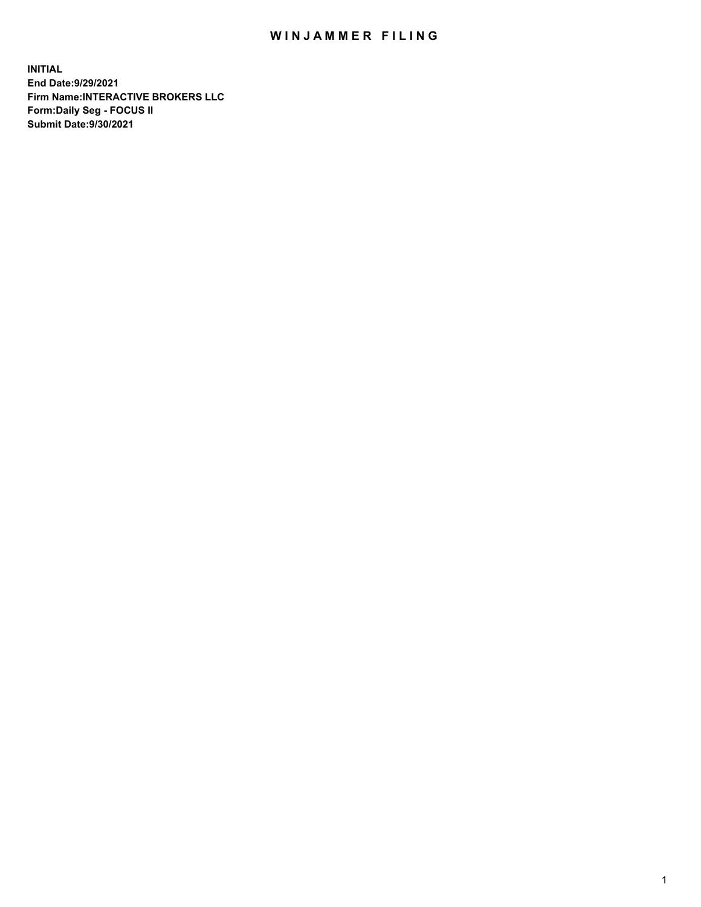## WIN JAMMER FILING

**INITIAL End Date:9/29/2021 Firm Name:INTERACTIVE BROKERS LLC Form:Daily Seg - FOCUS II Submit Date:9/30/2021**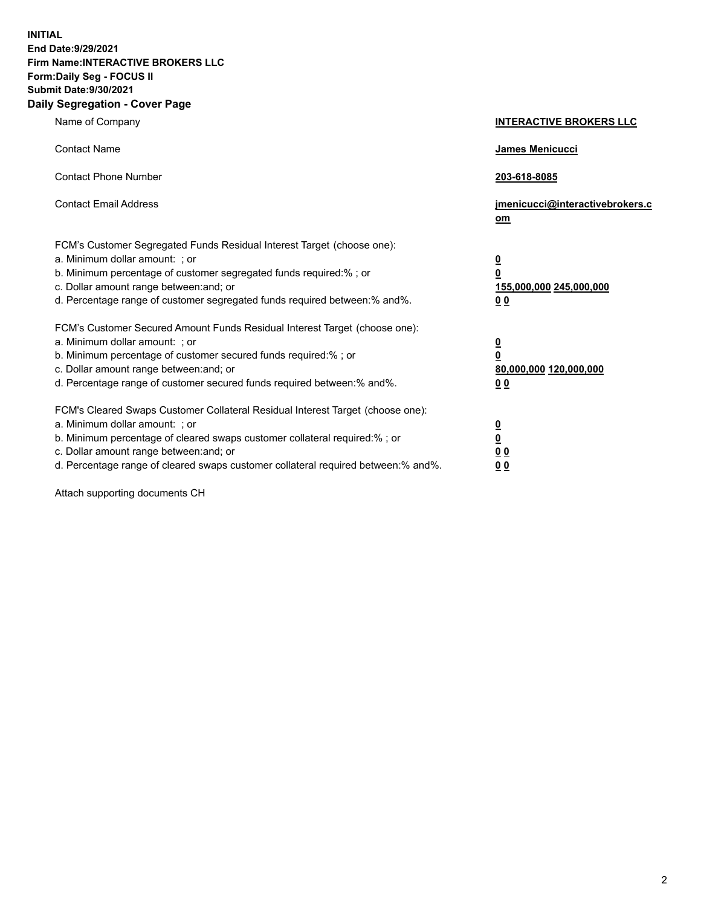**INITIAL End Date:9/29/2021 Firm Name:INTERACTIVE BROKERS LLC Form:Daily Seg - FOCUS II Submit Date:9/30/2021 Daily Segregation - Cover Page**

| Name of Company                                                                                                                                                                                                                                                                                                                | <b>INTERACTIVE BROKERS LLC</b>                                                   |  |
|--------------------------------------------------------------------------------------------------------------------------------------------------------------------------------------------------------------------------------------------------------------------------------------------------------------------------------|----------------------------------------------------------------------------------|--|
| <b>Contact Name</b>                                                                                                                                                                                                                                                                                                            | James Menicucci                                                                  |  |
| <b>Contact Phone Number</b>                                                                                                                                                                                                                                                                                                    | 203-618-8085                                                                     |  |
| <b>Contact Email Address</b>                                                                                                                                                                                                                                                                                                   | jmenicucci@interactivebrokers.c<br>om                                            |  |
| FCM's Customer Segregated Funds Residual Interest Target (choose one):<br>a. Minimum dollar amount: ; or<br>b. Minimum percentage of customer segregated funds required:% ; or<br>c. Dollar amount range between: and; or<br>d. Percentage range of customer segregated funds required between:% and%.                         | <u>0</u><br>$\overline{\mathbf{0}}$<br>155,000,000 245,000,000<br>0 <sub>0</sub> |  |
| FCM's Customer Secured Amount Funds Residual Interest Target (choose one):<br>a. Minimum dollar amount: ; or<br>b. Minimum percentage of customer secured funds required:% ; or<br>c. Dollar amount range between: and; or<br>d. Percentage range of customer secured funds required between:% and%.                           | <u>0</u><br>$\overline{\mathbf{0}}$<br>80,000,000 120,000,000<br>0 <sub>0</sub>  |  |
| FCM's Cleared Swaps Customer Collateral Residual Interest Target (choose one):<br>a. Minimum dollar amount: ; or<br>b. Minimum percentage of cleared swaps customer collateral required:% ; or<br>c. Dollar amount range between: and; or<br>d. Percentage range of cleared swaps customer collateral required between:% and%. | <u>0</u><br>$\underline{\mathbf{0}}$<br>0 <sub>0</sub><br>0 <sub>0</sub>         |  |

Attach supporting documents CH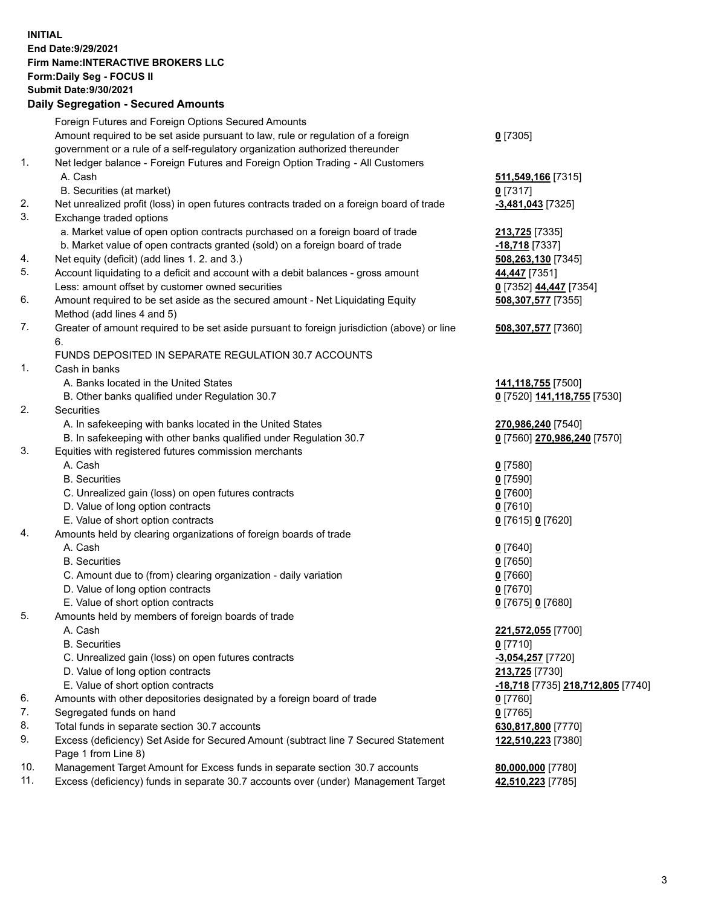**INITIAL End Date:9/29/2021 Firm Name:INTERACTIVE BROKERS LLC Form:Daily Seg - FOCUS II Submit Date:9/30/2021 Daily Segregation - Secured Amounts**

## Foreign Futures and Foreign Options Secured Amounts Amount required to be set aside pursuant to law, rule or regulation of a foreign government or a rule of a self-regulatory organization authorized thereunder **0** [7305] 1. Net ledger balance - Foreign Futures and Foreign Option Trading - All Customers A. Cash **511,549,166** [7315] B. Securities (at market) **0** [7317] 2. Net unrealized profit (loss) in open futures contracts traded on a foreign board of trade **-3,481,043** [7325] 3. Exchange traded options a. Market value of open option contracts purchased on a foreign board of trade **213,725** [7335] b. Market value of open contracts granted (sold) on a foreign board of trade **-18,718** [7337] 4. Net equity (deficit) (add lines 1. 2. and 3.) **508,263,130** [7345] 5. Account liquidating to a deficit and account with a debit balances - gross amount **44,447** [7351] Less: amount offset by customer owned securities **0** [7352] **44,447** [7354] 6. Amount required to be set aside as the secured amount - Net Liquidating Equity Method (add lines 4 and 5) **508,307,577** [7355] 7. Greater of amount required to be set aside pursuant to foreign jurisdiction (above) or line 6. **508,307,577** [7360] FUNDS DEPOSITED IN SEPARATE REGULATION 30.7 ACCOUNTS 1. Cash in banks A. Banks located in the United States **141,118,755** [7500] B. Other banks qualified under Regulation 30.7 **0** [7520] **141,118,755** [7530] 2. Securities A. In safekeeping with banks located in the United States **270,986,240** [7540] B. In safekeeping with other banks qualified under Regulation 30.7 **0** [7560] **270,986,240** [7570] 3. Equities with registered futures commission merchants A. Cash **0** [7580] B. Securities **0** [7590] C. Unrealized gain (loss) on open futures contracts **0** [7600] D. Value of long option contracts **0** [7610] E. Value of short option contracts **0** [7615] **0** [7620] 4. Amounts held by clearing organizations of foreign boards of trade A. Cash **0** [7640] B. Securities **0** [7650] C. Amount due to (from) clearing organization - daily variation **0** [7660] D. Value of long option contracts **0** [7670] E. Value of short option contracts **0** [7675] **0** [7680] 5. Amounts held by members of foreign boards of trade A. Cash **221,572,055** [7700] B. Securities **0** [7710] C. Unrealized gain (loss) on open futures contracts **-3,054,257** [7720] D. Value of long option contracts **213,725** [7730] E. Value of short option contracts **-18,718** [7735] **218,712,805** [7740] 6. Amounts with other depositories designated by a foreign board of trade **0** [7760] 7. Segregated funds on hand **0** [7765] 8. Total funds in separate section 30.7 accounts **630,817,800** [7770] 9. Excess (deficiency) Set Aside for Secured Amount (subtract line 7 Secured Statement Page 1 from Line 8) **122,510,223** [7380] 10. Management Target Amount for Excess funds in separate section 30.7 accounts **80,000,000** [7780] 11. Excess (deficiency) funds in separate 30.7 accounts over (under) Management Target **42,510,223** [7785]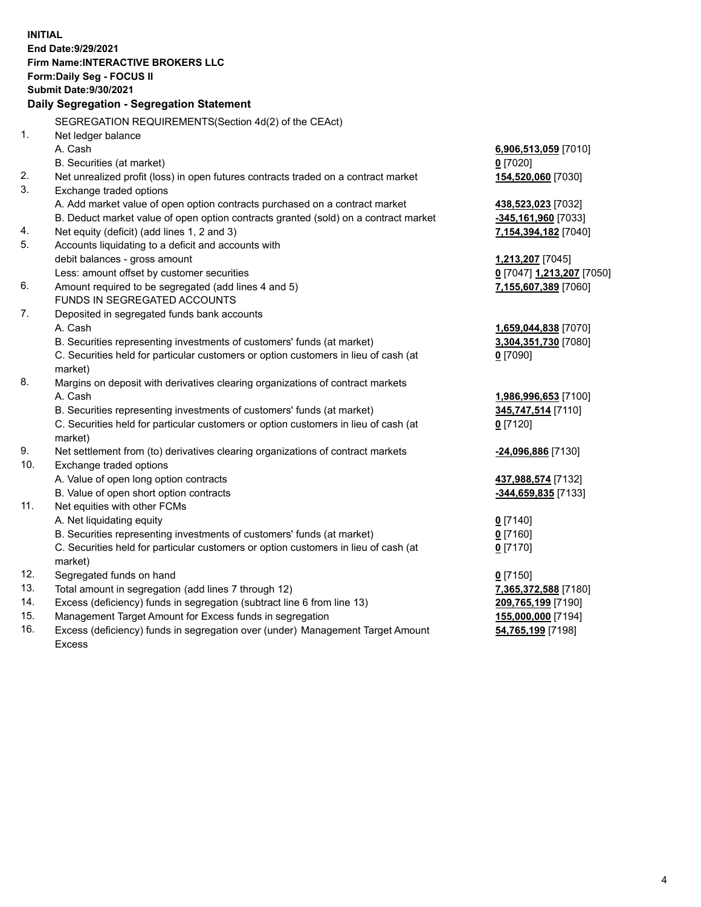**INITIAL End Date:9/29/2021 Firm Name:INTERACTIVE BROKERS LLC Form:Daily Seg - FOCUS II Submit Date:9/30/2021 Daily Segregation - Segregation Statement** SEGREGATION REQUIREMENTS(Section 4d(2) of the CEAct) 1. Net ledger balance A. Cash **6,906,513,059** [7010] B. Securities (at market) **0** [7020] 2. Net unrealized profit (loss) in open futures contracts traded on a contract market **154,520,060** [7030] 3. Exchange traded options A. Add market value of open option contracts purchased on a contract market **438,523,023** [7032] B. Deduct market value of open option contracts granted (sold) on a contract market **-345,161,960** [7033] 4. Net equity (deficit) (add lines 1, 2 and 3) **7,154,394,182** [7040] 5. Accounts liquidating to a deficit and accounts with debit balances - gross amount **1,213,207** [7045] Less: amount offset by customer securities **0** [7047] **1,213,207** [7050] 6. Amount required to be segregated (add lines 4 and 5) **7,155,607,389** [7060] FUNDS IN SEGREGATED ACCOUNTS 7. Deposited in segregated funds bank accounts A. Cash **1,659,044,838** [7070] B. Securities representing investments of customers' funds (at market) **3,304,351,730** [7080] C. Securities held for particular customers or option customers in lieu of cash (at market) **0** [7090] 8. Margins on deposit with derivatives clearing organizations of contract markets A. Cash **1,986,996,653** [7100] B. Securities representing investments of customers' funds (at market) **345,747,514** [7110] C. Securities held for particular customers or option customers in lieu of cash (at market) **0** [7120] 9. Net settlement from (to) derivatives clearing organizations of contract markets **-24,096,886** [7130] 10. Exchange traded options A. Value of open long option contracts **437,988,574** [7132] B. Value of open short option contracts **-344,659,835** [7133] 11. Net equities with other FCMs A. Net liquidating equity **0** [7140] B. Securities representing investments of customers' funds (at market) **0** [7160] C. Securities held for particular customers or option customers in lieu of cash (at market) **0** [7170] 12. Segregated funds on hand **0** [7150] 13. Total amount in segregation (add lines 7 through 12) **7,365,372,588** [7180] 14. Excess (deficiency) funds in segregation (subtract line 6 from line 13) **209,765,199** [7190] 15. Management Target Amount for Excess funds in segregation **155,000,000** [7194] 16. Excess (deficiency) funds in segregation over (under) Management Target Amount **54,765,199** [7198]

Excess